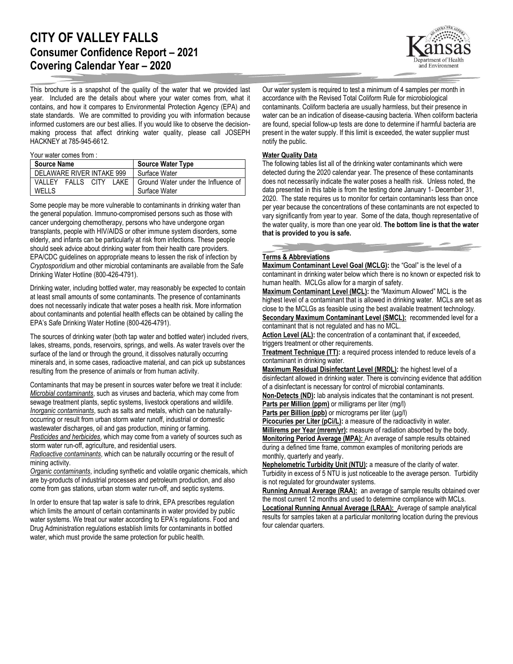# **CITY OF VALLEY FALLS Consumer Confidence Report – 2021 Covering Calendar Year – 2020**

This brochure is a snapshot of the quality of the water that we provided last year. Included are the details about where your water comes from, what it contains, and how it compares to Environmental Protection Agency (EPA) and state standards. We are committed to providing you with information because informed customers are our best allies. If you would like to observe the decisionmaking process that affect drinking water quality, please call JOSEPH HACKNEY at 785-945-6612.

#### Your water comes from :

| <b>Source Name</b>             | <b>Source Water Type</b>            |
|--------------------------------|-------------------------------------|
| DELAWARE RIVER INTAKE 999      | Surface Water                       |
| VALLEY<br>FALLS CITY<br>LAKE I | Ground Water under the Influence of |
| <b>WELLS</b>                   | Surface Water                       |

Some people may be more vulnerable to contaminants in drinking water than the general population. Immuno-compromised persons such as those with cancer undergoing chemotherapy, persons who have undergone organ transplants, people with HIV/AIDS or other immune system disorders, some elderly, and infants can be particularly at risk from infections. These people should seek advice about drinking water from their health care providers. EPA/CDC guidelines on appropriate means to lessen the risk of infection by *Cryptosporidium* and other microbial contaminants are available from the Safe Drinking Water Hotline (800-426-4791).

Drinking water, including bottled water, may reasonably be expected to contain at least small amounts of some contaminants. The presence of contaminants does not necessarily indicate that water poses a health risk. More information about contaminants and potential health effects can be obtained by calling the EPA's Safe Drinking Water Hotline (800-426-4791).

The sources of drinking water (both tap water and bottled water) included rivers, lakes, streams, ponds, reservoirs, springs, and wells. As water travels over the surface of the land or through the ground, it dissolves naturally occurring minerals and, in some cases, radioactive material, and can pick up substances resulting from the presence of animals or from human activity.

Contaminants that may be present in sources water before we treat it include: *Microbial contaminants*, such as viruses and bacteria, which may come from sewage treatment plants, septic systems, livestock operations and wildlife. *Inorganic contaminants*, such as salts and metals, which can be naturallyoccurring or result from urban storm water runoff, industrial or domestic wastewater discharges, oil and gas production, mining or farming. *Pesticides and herbicides*, which may come from a variety of sources such as storm water run-off, agriculture, and residential users.

*Radioactive contaminants*, which can be naturally occurring or the result of mining activity.

*Organic contaminants*, including synthetic and volatile organic chemicals, which are by-products of industrial processes and petroleum production, and also come from gas stations, urban storm water run-off, and septic systems.

In order to ensure that tap water is safe to drink, EPA prescribes regulation which limits the amount of certain contaminants in water provided by public water systems. We treat our water according to EPA's regulations. Food and Drug Administration regulations establish limits for contaminants in bottled water, which must provide the same protection for public health.



Our water system is required to test a minimum of 4 samples per month in accordance with the Revised Total Coliform Rule for microbiological contaminants. Coliform bacteria are usually harmless, but their presence in water can be an indication of disease-causing bacteria. When coliform bacteria are found, special follow-up tests are done to determine if harmful bacteria are present in the water supply. If this limit is exceeded, the water supplier must notify the public.

#### **Water Quality Data**

The following tables list all of the drinking water contaminants which were detected during the 2020 calendar year. The presence of these contaminants does not necessarily indicate the water poses a health risk. Unless noted, the data presented in this table is from the testing done January 1- December 31, 2020. The state requires us to monitor for certain contaminants less than once per year because the concentrations of these contaminants are not expected to vary significantly from year to year. Some of the data, though representative of the water quality, is more than one year old. **The bottom line is that the water that is provided to you is safe.**

#### **Terms & Abbreviations**

**Maximum Contaminant Level Goal (MCLG):** the "Goal" is the level of a contaminant in drinking water below which there is no known or expected risk to human health. MCLGs allow for a margin of safety.

**Maximum Contaminant Level (MCL):** the "Maximum Allowed" MCL is the highest level of a contaminant that is allowed in drinking water. MCLs are set as close to the MCLGs as feasible using the best available treatment technology. **Secondary Maximum Contaminant Level (SMCL):** recommended level for a contaminant that is not regulated and has no MCL.

Action Level (AL): the concentration of a contaminant that, if exceeded, triggers treatment or other requirements.

**Treatment Technique (TT):** a required process intended to reduce levels of a contaminant in drinking water.

**Maximum Residual Disinfectant Level (MRDL):** the highest level of a disinfectant allowed in drinking water. There is convincing evidence that addition of a disinfectant is necessary for control of microbial contaminants.

**Non-Detects (ND):** lab analysis indicates that the contaminant is not present. **Parts per Million (ppm)** or milligrams per liter (mg/l)

Parts per Billion (ppb) or micrograms per liter (µg/l)

**Picocuries per Liter (pCi/L):** a measure of the radioactivity in water. **Millirems per Year (mrem/yr):** measure of radiation absorbed by the body. **Monitoring Period Average (MPA):** An average of sample results obtained during a defined time frame, common examples of monitoring periods are monthly, quarterly and yearly.

**Nephelometric Turbidity Unit (NTU):** a measure of the clarity of water. Turbidity in excess of 5 NTU is just noticeable to the average person. Turbidity is not regulated for groundwater systems.

**Running Annual Average (RAA):** an average of sample results obtained over the most current 12 months and used to determine compliance with MCLs. **Locational Running Annual Average (LRAA):** Average of sample analytical results for samples taken at a particular monitoring location during the previous four calendar quarters.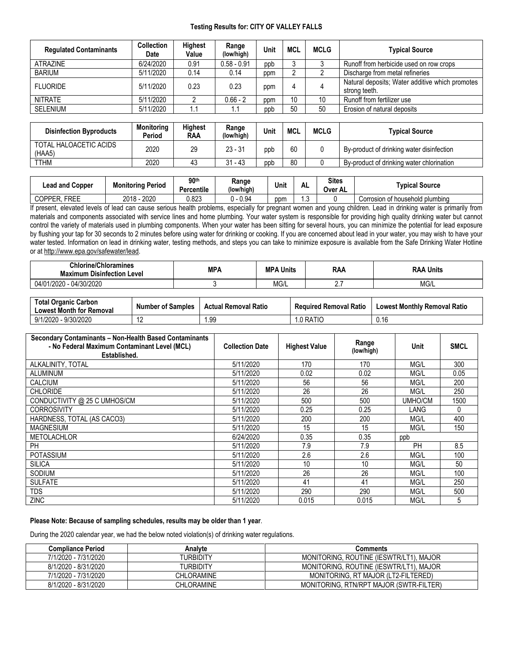#### **Testing Results for: CITY OF VALLEY FALLS**

| <b>Regulated Contaminants</b> | <b>Collection</b><br>Date | <b>Highest</b><br>Value | Range<br>(low/high) | Unit | <b>MCL</b> | <b>MCLG</b> | <b>Typical Source</b>                                            |
|-------------------------------|---------------------------|-------------------------|---------------------|------|------------|-------------|------------------------------------------------------------------|
| ATRAZINE                      | 6/24/2020                 | 0.91                    | $0.58 - 0.91$       | ppb  |            |             | Runoff from herbicide used on row crops                          |
| BARIUM                        | 5/11/2020                 | 0.14                    | 0.14                | ppm  |            |             | Discharge from metal refineries                                  |
| <b>FLUORIDE</b>               | 5/11/2020                 | 0.23                    | 0.23                | ppm  |            |             | Natural deposits; Water additive which promotes<br>strong teeth. |
| <b>NITRATE</b>                | 5/11/2020                 |                         | $0.66 - 2$          | ppm  | 10         | 10          | Runoff from fertilizer use                                       |
| <b>SELENIUM</b>               | 5/11/2020                 | 1.1                     | 1.1                 | ppb  | 50         | 50          | Erosion of natural deposits                                      |

| <b>Disinfection Byproducts</b>   | <b>Monitoring</b><br>Period | Highest<br><b>RAA</b> | Range<br>(low/high) | Unit | <b>MCL</b> | <b>MCLG</b> | Tvpical Source                            |
|----------------------------------|-----------------------------|-----------------------|---------------------|------|------------|-------------|-------------------------------------------|
| TOTAL HALOACETIC ACIDS<br>(HAA5) | 2020                        | 29                    | $23 - 31$           | ppb  | 60         |             | By-product of drinking water disinfection |
| <b>TTHM</b>                      | 2020                        | 4ა                    | $-43$<br>24         | ppb  | 80         |             | By-product of drinking water chlorination |

| Lead and Copper              | <b>Monitoring Period</b> | 90 <sup>th</sup><br><b>Percentile</b> | Range<br>(low/high) | Unit | AL. | <b>Sites</b><br>Over<br>'AL | <b>Tvpical Source</b>                |
|------------------------------|--------------------------|---------------------------------------|---------------------|------|-----|-----------------------------|--------------------------------------|
| EDEE<br><b>COPPER</b><br>REE | 2020<br>2018             | രാ<br>ט∠ס.נ                           | 0.94                | ppm  | ں ، |                             | f household plumbina<br>Corrosion of |

If present, elevated levels of lead can cause serious health problems, especially for pregnant women and young children. Lead in drinking water is primarily from materials and components associated with service lines and home plumbing. Your water system is responsible for providing high quality drinking water but cannot control the variety of materials used in plumbing components. When your water has been sitting for several hours, you can minimize the potential for lead exposure by flushing your tap for 30 seconds to 2 minutes before using water for drinking or cooking. If you are concerned about lead in your water, you may wish to have your water tested. Information on lead in drinking water, testing methods, and steps you can take to minimize exposure is available from the Safe Drinking Water Hotline or at [http://www.epa.gov/safewater/lead.](http://www.epa.gov/safewater/lead)

| <b>Chlorine/Chloramines</b><br><b>Maximum Disinfection</b><br>⊦Level | MPA | <b>MP</b><br>Units | RAA    | Units<br>.KAP |
|----------------------------------------------------------------------|-----|--------------------|--------|---------------|
| 0 - 04/30/2020<br>1/2020<br>04/0                                     |     | MG/L               | $\sim$ | MG/L          |

| <b>Total Organic Carbon</b><br><b>Lowest Month for Removal</b> | <b>Number of Samples</b> | <b>Actual Removal Ratio</b> | <b>Required Removal Ratio</b> | <b>Lowest Monthly Removal Ratio</b> |
|----------------------------------------------------------------|--------------------------|-----------------------------|-------------------------------|-------------------------------------|
| 9/1/2020 - 9/30/2020                                           |                          | .99                         | .0 RATIO                      | 0.16                                |

| Secondary Contaminants - Non-Health Based Contaminants<br>- No Federal Maximum Contaminant Level (MCL)<br>Established. | <b>Collection Date</b> | <b>Highest Value</b> | Range<br>(low/high) | Unit      | <b>SMCL</b> |
|------------------------------------------------------------------------------------------------------------------------|------------------------|----------------------|---------------------|-----------|-------------|
| ALKALINITY, TOTAL                                                                                                      | 5/11/2020              | 170                  | 170                 | MG/L      | 300         |
| <b>ALUMINUM</b>                                                                                                        | 5/11/2020              | 0.02                 | 0.02                | MG/L      | 0.05        |
| <b>CALCIUM</b>                                                                                                         | 5/11/2020              | 56                   | 56                  | MG/L      | 200         |
| <b>CHLORIDE</b>                                                                                                        | 5/11/2020              | 26                   | 26                  | MG/L      | 250         |
| CONDUCTIVITY @ 25 C UMHOS/CM                                                                                           | 5/11/2020              | 500                  | 500                 | UMHO/CM   | 1500        |
| <b>CORROSIVITY</b>                                                                                                     | 5/11/2020              | 0.25                 | 0.25                | LANG      | 0           |
| HARDNESS, TOTAL (AS CACO3)                                                                                             | 5/11/2020              | 200                  | 200                 | MG/L      | 400         |
| <b>MAGNESIUM</b>                                                                                                       | 5/11/2020              | 15                   | 15                  | MG/L      | 150         |
| <b>METOLACHLOR</b>                                                                                                     | 6/24/2020              | 0.35                 | 0.35                | ppb       |             |
| PH                                                                                                                     | 5/11/2020              | 7.9                  | 7.9                 | <b>PH</b> | 8.5         |
| <b>POTASSIUM</b>                                                                                                       | 5/11/2020              | 2.6                  | 2.6                 | MG/L      | 100         |
| <b>SILICA</b>                                                                                                          | 5/11/2020              | 10                   | 10                  | MG/L      | 50          |
| SODIUM                                                                                                                 | 5/11/2020              | 26                   | 26                  | MG/L      | 100         |
| <b>SULFATE</b>                                                                                                         | 5/11/2020              | 41                   | 41                  | MG/L      | 250         |
| <b>TDS</b>                                                                                                             | 5/11/2020              | 290                  | 290                 | MG/L      | 500         |
| <b>ZINC</b>                                                                                                            | 5/11/2020              | 0.015                | 0.015               | MG/L      | 5           |

### **Please Note: Because of sampling schedules, results may be older than 1 year**.

During the 2020 calendar year, we had the below noted violation(s) of drinking water regulations.

| <b>Compliance Period</b> | Analvte           | Comments                                |
|--------------------------|-------------------|-----------------------------------------|
| 7/1/2020 - 7/31/2020     | TURBIDITY         | MONITORING, ROUTINE (IESWTR/LT1), MAJOR |
| 8/1/2020 - 8/31/2020     | TURBIDITY         | MONITORING, ROUTINE (IESWTR/LT1), MAJOR |
| 7/1/2020 - 7/31/2020     | <b>CHLORAMINE</b> | MONITORING, RT MAJOR (LT2-FILTERED)     |
| 8/1/2020 - 8/31/2020     | <b>CHLORAMINE</b> | MONITORING, RTN/RPT MAJOR (SWTR-FILTER) |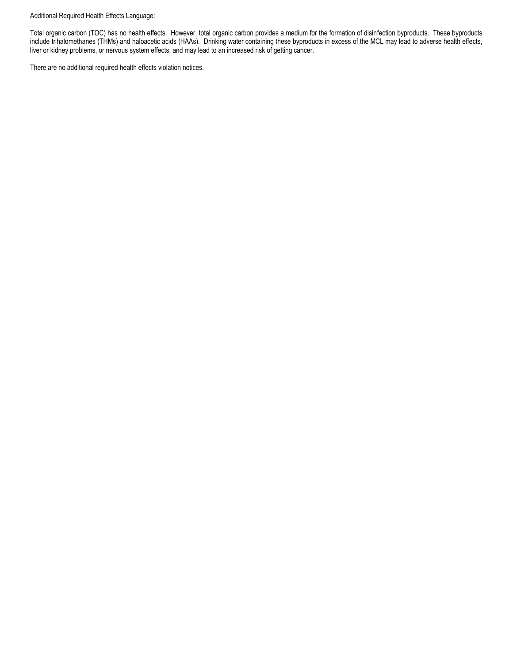#### Additional Required Health Effects Language:

Total organic carbon (TOC) has no health effects. However, total organic carbon provides a medium for the formation of disinfection byproducts. These byproducts include trihalomethanes (THMs) and haloacetic acids (HAAs). Drinking water containing these byproducts in excess of the MCL may lead to adverse health effects, liver or kidney problems, or nervous system effects, and may lead to an increased risk of getting cancer.

There are no additional required health effects violation notices.